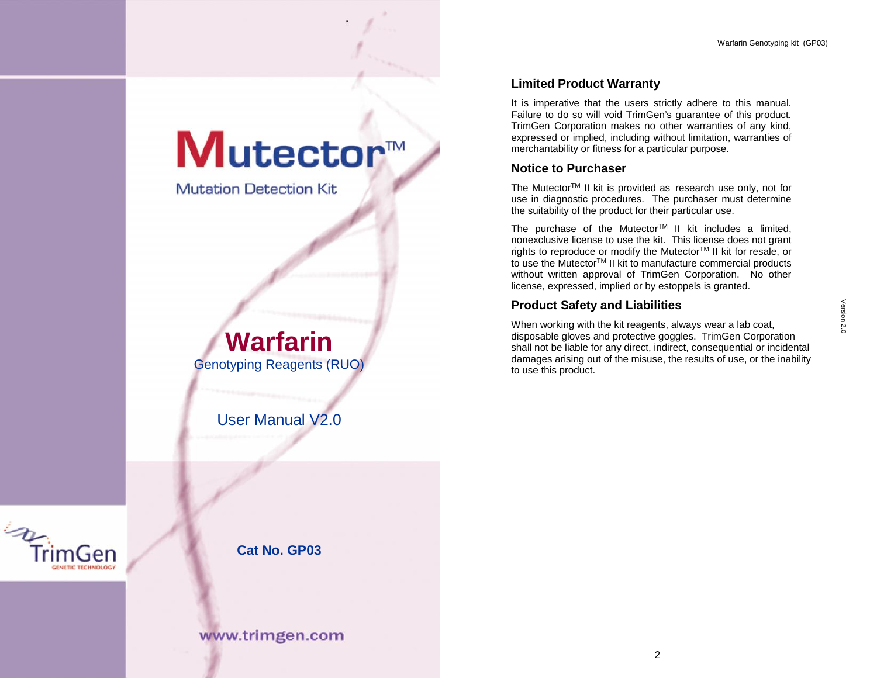## Mutector™

Warfarin Genotyping kit (GP03)

**Mutation Detection Kit** 

# Warfarin<br>
Notyping Reagents (RUO)<br>
User Manual V2.0<br>
Cat No. GP03<br>
ww.trimgen.com **Warfarin** Genotyping Reagents (RUO)

User Manual V2.0

imGen



**Cat No. GP03**

### **Limited Product Warranty**

It is imperative that the users strictly adhere to this manual. Failure to do so will void TrimGen's guarantee of this product. TrimGen Corporation makes no other warranties of any kind, expressed or implied, including without limitation, warranties of merchantability or fitness for a particular purpose.

#### **Notice to Purchaser**

The Mutector<sup>™</sup> II kit is provided as research use only, not for use in diagnostic procedures. The purchaser must determine the suitability of the product for their particular use.

The purchase of the Mutector™ II kit includes a limited, nonexclusive license to use the kit. This license does not grant rights to reproduce or modify the Mutector™ II kit for resale, or to use the Mutector<sup>™</sup> II kit to manufacture commercial products without written approval of TrimGen Corporation. No other license, expressed, implied or by estoppels is granted.

#### **Product Safety and Liabilities**

**lities**<br>this, always wear a lab coat,<br>goggles. TrimGen Corporation<br>indirect, consequential or incidental<br>se, the results of use, or the inability<br>2 When working with the kit reagents, always wear a lab coat, disposable gloves and protective goggles. TrimGen Corporation shall not be liable for any direct, indirect, consequential or incidental damages arising out of the misuse, the results of use, or the inability to use this product.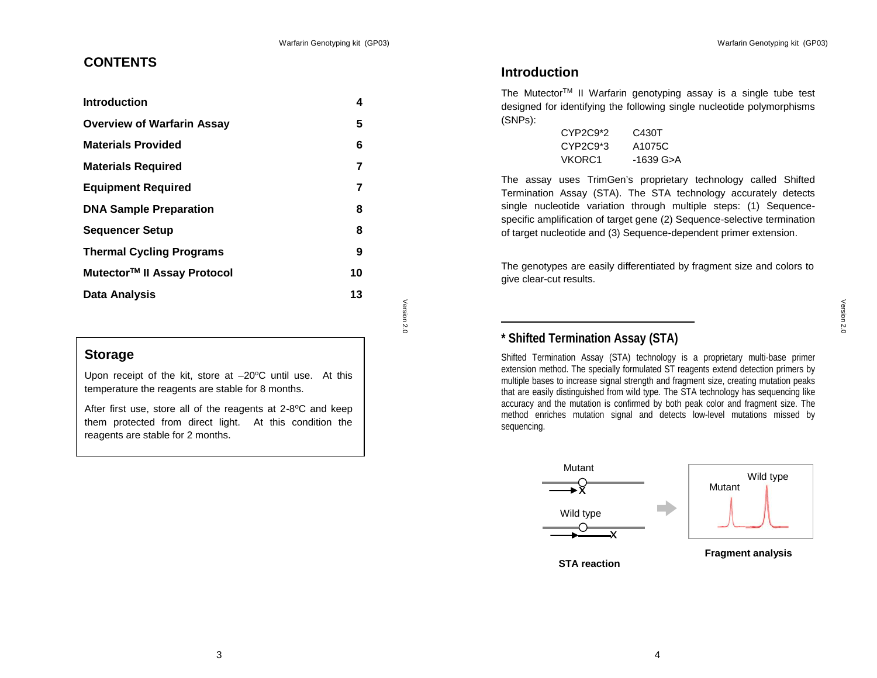#### Warfarin Genotyping kit (GP03)

#### **CONTENTS**

| <b>Introduction</b>                     | 4  |     |
|-----------------------------------------|----|-----|
| <b>Overview of Warfarin Assay</b>       | 5  |     |
| <b>Materials Provided</b>               | 6  |     |
| <b>Materials Required</b>               | 7  |     |
| <b>Equipment Required</b>               | 7  |     |
| <b>DNA Sample Preparation</b>           | 8  |     |
| <b>Sequencer Setup</b>                  | 8  |     |
| <b>Thermal Cycling Programs</b>         | 9  |     |
| Mutector <sup>™</sup> II Assay Protocol | 10 |     |
| Data Analysis                           | 13 |     |
|                                         |    | Ver |

#### **Storage**

Upon receipt of the kit, store at  $-20^{\circ}$ C until use. At this temperature the reagents are stable for 8 months.

 $\frac{1}{2}$  at  $-20^{\circ}$ C until use. At this<br>stable for 8 months.<br>e reagents at 2-8°C and keep<br>light. At this condition the<br>ths. After first use, store all of the reagents at 2-8°C and keep | them protected from direct light. At this condition the reagents are stable for 2 months.

#### **Introduction**

The Mutector<sup>™</sup> II Warfarin genotyping assay is a single tube test designed for identifying the following single nucleotide polymorphisms (SNPs):

| $CYP2C9*2$ | C430T     |  |
|------------|-----------|--|
| $CYP2C9*3$ | A1075C    |  |
| VKORC1     | -1639 G>A |  |

The assay uses TrimGen's proprietary technology called Shifted Termination Assay (STA). The STA technology accurately detects single nucleotide variation through multiple steps: (1) Sequence specific amplification of target gene (2) Sequence-selective termination of target nucleotide and (3) Sequence-dependent primer extension.

The genotypes are easily differentiated by fragment size and colors to give clear-cut results.

#### **\* Shifted Termination Assay (STA)**

Shifted Termination Assay (STA) technology is a proprietary multi-base primer extension method. The specially formulated ST reagents extend detection primers by multiple bases to increase signal strength and fragment size, creating mutation peaks that are easily distinguished from wild type. The STA technology has sequencing like accuracy and the mutation is confirmed by both peak color and fragment size. The method enriches mutation signal and detects low-level mutations missed by sequencing.



**STA reaction**

**Fragment analysis**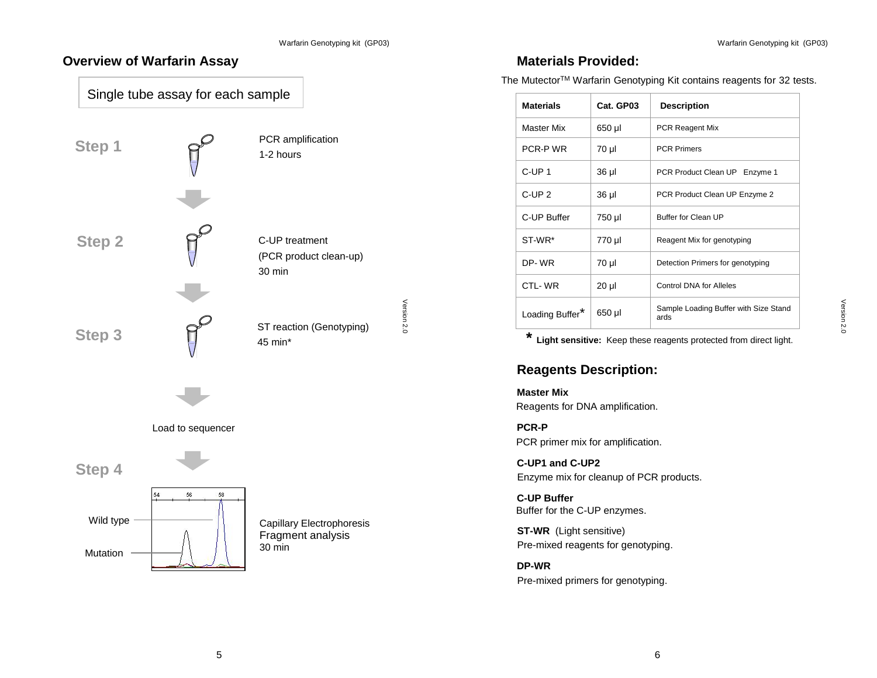#### **Overview of Warfarin Assay**





#### **Materials Provided:**

The Mutector<sup>™</sup> Warfarin Genotyping Kit contains reagents for 32 tests.

| <b>Materials</b>                                                                     | Cat. GP03 | <b>Description</b>                            |
|--------------------------------------------------------------------------------------|-----------|-----------------------------------------------|
| <b>Master Mix</b>                                                                    | 650 µl    | <b>PCR Reagent Mix</b>                        |
| PCR-P WR                                                                             | 70 µl     | <b>PCR Primers</b>                            |
| C-UP <sub>1</sub>                                                                    | 36 µl     | PCR Product Clean UP Enzyme 1                 |
| C-UP <sub>2</sub>                                                                    | 36 µl     | PCR Product Clean UP Enzyme 2                 |
| C-UP Buffer                                                                          | 750 µl    | Buffer for Clean UP                           |
| ST-WR*                                                                               | 770 µl    | Reagent Mix for genotyping                    |
| DP-WR                                                                                | 70 µl     | Detection Primers for genotyping              |
| CTL-WR                                                                               | 20 µl     | Control DNA for Alleles                       |
| Loading Buffer*                                                                      | 650 µl    | Sample Loading Buffer with Size Stand<br>ards |
| Reagents for DNA amplification.<br><b>PCR-P</b><br>PCR primer mix for amplification. |           |                                               |
| C-UP1 and C-UP2<br>Enzyme mix for cleanup of PCR products.                           |           |                                               |
| <b>C-UP Buffer</b><br>Buffer for the C-UP enzymes.                                   |           |                                               |
| <b>ST-WR</b> (Light sensitive)<br>Pre-mixed reagents for genotyping.                 |           |                                               |
| DP-WR<br>Pre-mixed primers for genotyping.                                           |           |                                               |
|                                                                                      |           |                                               |
|                                                                                      |           |                                               |
|                                                                                      |           | 6                                             |

#### **Reagents Description:**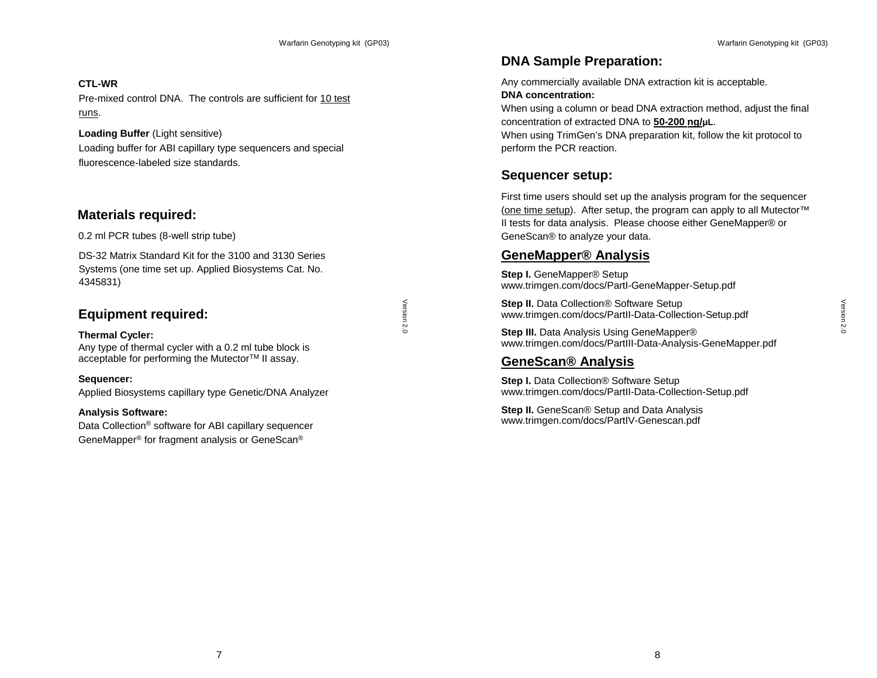#### **CTL-WR**

Pre-mixed control DNA. The controls are sufficient for 10 test runs.

#### **Loading Buffer** (Light sensitive)

Loading buffer for ABI capillary type sequencers and special fluorescence-labeled size standards.

#### **Materials required:**

0.2 ml PCR tubes (8-well strip tube)

DS-32 Matrix Standard Kit for the 3100 and 3130 Series Systems (one time set up. Applied Biosystems Cat. No. 4345831)

#### **Equipment required:**

#### **Thermal Cycler:**

Any type of thermal cycler with a 0.2 ml tube block is acceptable for performing the Mutector™ II assay.

**Sequencer:** Applied Biosystems capillary type Genetic/DNA Analyzer

#### **Analysis Software:**

a 0.2 ml tube block is<br>
"<br>"Mutector™ II assay.<br>
pe Genetic/DNA Analyzer<br>
Bl capillary sequencer<br>
lysis or GeneScan® Data Collection® software for ABI capillary sequencer GeneMapper® for fragment analysis or GeneScan®

#### **DNA Sample Preparation:**

Any commercially available DNA extraction kit is acceptable. **DNA concentration:**

When using a column or bead DNA extraction method, adjust the final concentration of extracted DNA to **50-200 ng/μL**.

When using TrimGen's DNA preparation kit, follow the kit protocol to perform the PCR reaction.

#### **Sequencer setup:**

First time users should set up the analysis program for the sequencer (one time setup). After setup, the program can apply to all Mutector™ II tests for data analysis. Please choose either GeneMapper® or GeneScan® to analyze your data.

#### **GeneMapper® Analysis**

**Step I.** GeneMapper® Setup www.trimgen.com/docs/PartI-GeneMapper-Setup.pdf

**Step II.** Data Collection<sup>®</sup> Software Setup www.trimgen.com/docs/PartII-Data-Collection-Setup.pdf

Setup<br>
-Collection-Setup.pdf<br>
Mapper®<br>
3. Analysis-GeneMapper.pdf<br>
Setup<br>
-Collection-Setup.pdf<br>
ta Analysis<br>
tescan.pdf<br>
8 **Step III.** Data Analysis Using GeneMapper® www.trimgen.com/docs/PartIII-Data-Analysis-GeneMapper.pdf

#### **GeneScan® Analysis**

**Step I.** Data Collection<sup>®</sup> Software Setup www.trimgen.com/docs/PartII-Data-Collection-Setup.pdf

**Step II.** GeneScan® Setup and Data Analysis www.trimgen.com/docs/PartIV-Genescan.pdf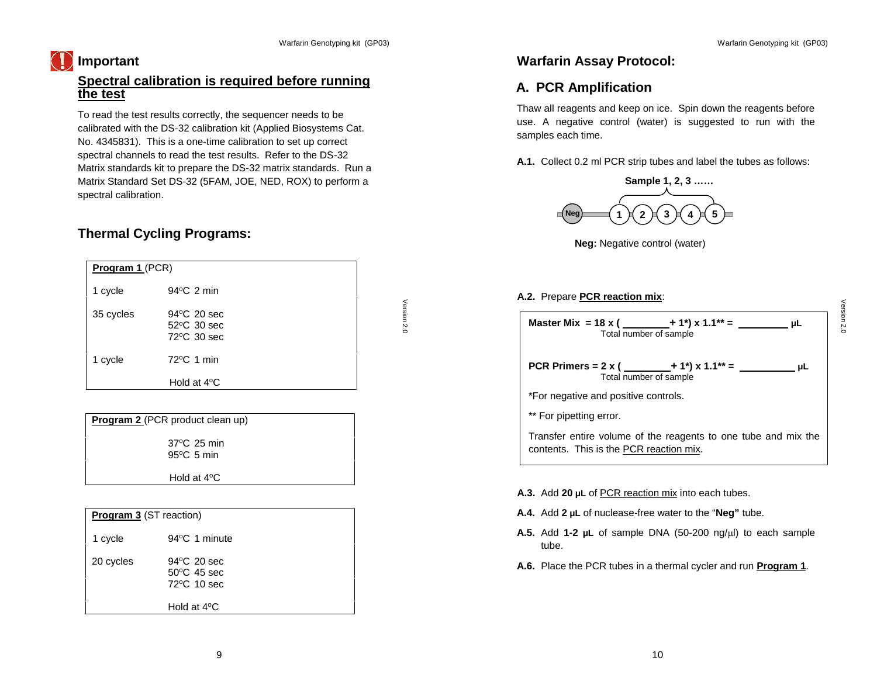#### **Important**

#### **Spectral calibration is required before running the test**

To read the test results correctly, the sequencer needs to be calibrated with the DS-32 calibration kit (Applied Biosystems Cat. No. 4345831). This is a one-time calibration to set up correct spectral channels to read the test results. Refer to the DS-32 Matrix standards kit to prepare the DS-32 matrix standards. Run a Matrix Standard Set DS-32 (5FAM, JOE, NED, ROX) to perform a spectral calibration.

#### **Thermal Cycling Programs:**

| <b>Program 1 (PCR)</b> |                                                      |  |
|------------------------|------------------------------------------------------|--|
| 1 cycle                | $94^{\circ}$ C 2 min                                 |  |
| 35 cycles              | $94^{\circ}$ C 20 sec<br>52°C 30 sec<br>72 °C 30 sec |  |
| 1 cycle                | $72^{\circ}$ C 1 min                                 |  |
|                        | Hold at $4^{\circ}$ C                                |  |

| <b>Program 2</b> (PCR product clean up)       |  |
|-----------------------------------------------|--|
| $37^{\circ}$ C 25 min<br>$95^{\circ}$ C 5 min |  |
| Hold at $4^{\circ}$ C                         |  |

| 35 cycles               | 94°C 20 sec                      |             |
|-------------------------|----------------------------------|-------------|
|                         | 52°C 30 sec                      | Version 2.0 |
|                         | 72°C 30 sec                      |             |
|                         |                                  |             |
| 1 cycle                 | 72°C 1 min                       |             |
|                         |                                  |             |
|                         | Hold at $4^{\circ}$ C            |             |
|                         |                                  |             |
|                         |                                  |             |
|                         |                                  |             |
|                         | Program 2 (PCR product clean up) |             |
|                         |                                  |             |
|                         | 37°C 25 min                      |             |
|                         | $95^{\circ}$ C 5 min             |             |
|                         |                                  |             |
|                         | Hold at $4^{\circ}$ C            |             |
|                         |                                  |             |
|                         |                                  |             |
| Program 3 (ST reaction) |                                  |             |
|                         |                                  |             |
| 1 cycle                 | 94°C 1 minute                    |             |
|                         |                                  |             |
| 20 cycles               | 94°C 20 sec                      |             |
|                         | 50°C 45 sec                      |             |
|                         | 72°C 10 sec                      |             |
|                         |                                  |             |
|                         |                                  |             |
|                         | Hold at $4^{\circ}$ C            |             |
|                         |                                  |             |
|                         |                                  |             |
|                         |                                  |             |
|                         | 9                                |             |

#### **Warfarin Assay Protocol:**

#### **A. PCR Amplification**

Thaw all reagents and keep on ice. Spin down the reagents before use. A negative control (water) is suggested to run with the samples each time.

**A.1.** Collect 0.2 ml PCR strip tubes and label the tubes as follows:





#### **A.2.** Prepare **PCR reaction mix**:

| Master Mix = 18 x ( $\_\_\_\_$ + 1 <sup>*</sup> ) x 1.1 <sup>**</sup> = $\_\_\_\_\_\_\_\_\_$<br>uL u<br>Total number of sample |
|--------------------------------------------------------------------------------------------------------------------------------|
|                                                                                                                                |
| PCR Primers = 2 x ( $\_\_\_\_$ + 1 <sup>*</sup> ) x 1.1 <sup>**</sup> = $\_\_\_\_\_\_\_\_\_$<br>uL u<br>Total number of sample |
| *For negative and positive controls.                                                                                           |
| ** For pipetting error.                                                                                                        |
| Transfer entire volume of the reagents to one tube and mix the<br>contents. This is the PCR reaction mix.                      |
| A.3. Add 20 µL of PCR reaction mix into each tubes.                                                                            |
| A.4. Add $2 \mu L$ of nuclease-free water to the "Neg" tube.                                                                   |
| A.5. Add 1-2 $\mu$ L of sample DNA (50-200 ng/ $\mu$ l) to each sample<br>tube.                                                |
| A.6. Place the PCR tubes in a thermal cycler and run <b>Program 1</b> .                                                        |
|                                                                                                                                |
|                                                                                                                                |
|                                                                                                                                |
| 10                                                                                                                             |

- **A.3.** Add **20 μL** of PCR reaction mix into each tubes.
- **A.4.** Add **2 μL** of nuclease-free water to the "**Neg"** tube.
- **A.5.** Add 1-2 μL of sample DNA (50-200 ng/μl) to each sample tube.
- **A.6.** Place the PCR tubes in a thermal cycler and run **Program 1**.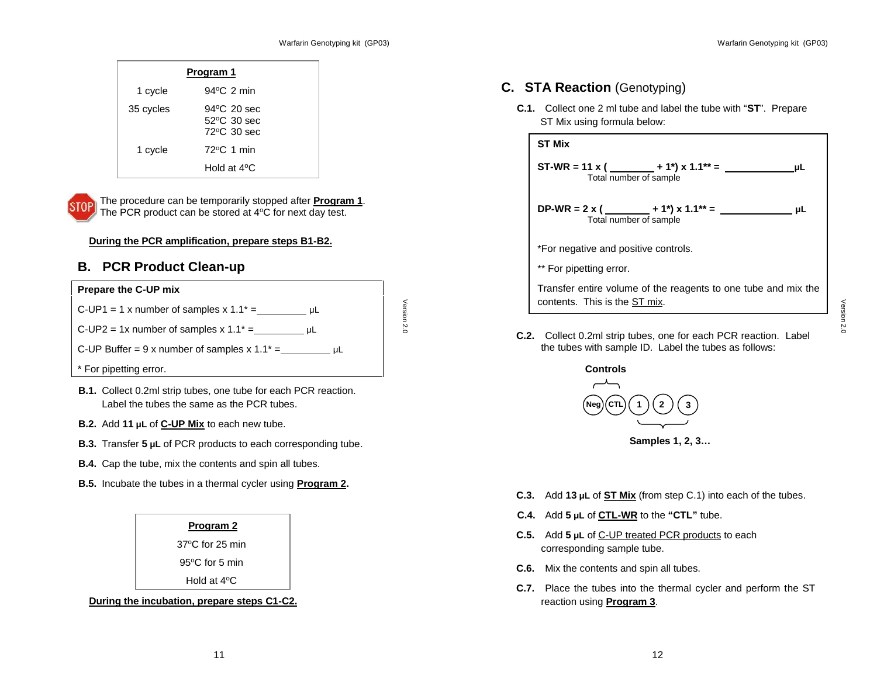| Program 1 |                                             |  |
|-----------|---------------------------------------------|--|
| 1 cycle   | $94^{\circ}$ C 2 min                        |  |
| 35 cycles | 94 °C 20 sec<br>52°C 30 sec<br>72 °C 30 sec |  |
| 1 cycle   | 72°C 1 min                                  |  |
|           | Hold at $4^{\circ}$ C                       |  |



The procedure can be temporarily stopped after **Program 1**. The PCR product can be stored at 4°C for next day test.

#### **During the PCR amplification, prepare steps B1-B2.**

#### **B. PCR Product Clean-up**

#### **Prepare the C-UP mix**

 $C$ -UP1 = 1 x number of samples x 1.1<sup>\*</sup> =  $\mu$ L  $C$ -UP2 = 1x number of samples x 1.1<sup>\*</sup> =  $\mu$ L

C-UP Buffer = 9 x number of samples x  $1.1^* =$  \_\_\_\_\_\_\_\_\_\_\_\_\_\_\_ µL

#### \* For pipetting error.

- 11 Version 2.0 **B.1.** Collect 0.2ml strip tubes, one tube for each PCR reaction. Label the tubes the same as the PCR tubes.
- **B.2.** Add **11 μL** of **C-UP Mix** to each new tube.
- **B.3.** Transfer **5 μL** of PCR products to each corresponding tube.
- **B.4.** Cap the tube, mix the contents and spin all tubes.
- **B.5.** Incubate the tubes in a thermal cycler using **Program 2.**

#### **Program 2**

37<sup>o</sup>C for 25 min

95°C for 5 min

Hold at 4°C

**During the incubation, prepare steps C1-C2.**

#### **C. STA Reaction** (Genotyping)

**C.1.** Collect one 2 ml tube and label the tube with "**ST**". Prepare ST Mix using formula below:



**C.2.** Collect 0.2ml strip tubes, one for each PCR reaction. Label the tubes with sample ID. Label the tubes as follows:



- **C.3.** Add **13 μL** of **ST Mix** (from step C.1) into each of the tubes.
- **C.4.** Add **5 μL** of **CTL-WR** to the **"CTL"** tube.
- **C.5.** Add **5 μL** of C-UP treated PCR products to each corresponding sample tube.
- **C.6.** Mix the contents and spin all tubes.
- **C.7.** Place the tubes into the thermal cycler and perform the ST reaction using **Program 3**.